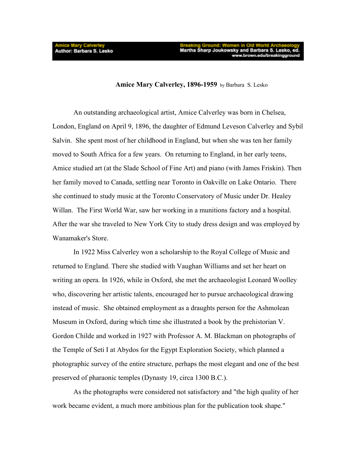Amice Mary Calverley<br>Author: Barbara S. Lesko

## **Amice Mary Calverley, 1896-1959** by Barbara S. Lesko

An outstanding archaeological artist, Amice Calverley was born in Chelsea, London, England on April 9, 1896, the daughter of Edmund Leveson Calverley and Sybil Salvin. She spent most of her childhood in England, but when she was ten her family moved to South Africa for a few years. On returning to England, in her early teens, Amice studied art (at the Slade School of Fine Art) and piano (with James Friskin). Then her family moved to Canada, settling near Toronto in Oakville on Lake Ontario. There she continued to study music at the Toronto Conservatory of Music under Dr. Healey Willan. The First World War, saw her working in a munitions factory and a hospital. After the war she traveled to New York City to study dress design and was employed by Wanamaker's Store.

In 1922 Miss Calverley won a scholarship to the Royal College of Music and returned to England. There she studied with Vaughan Williams and set her heart on writing an opera. In 1926, while in Oxford, she met the archaeologist Leonard Woolley who, discovering her artistic talents, encouraged her to pursue archaeological drawing instead of music. She obtained employment as a draughts person for the Ashmolean Museum in Oxford, during which time she illustrated a book by the prehistorian V. Gordon Childe and worked in 1927 with Professor A. M. Blackman on photographs of the Temple of Seti I at Abydos for the Egypt Exploration Society, which planned a photographic survey of the entire structure, perhaps the most elegant and one of the best preserved of pharaonic temples (Dynasty 19, circa 1300 B.C.).

As the photographs were considered not satisfactory and "the high quality of her work became evident, a much more ambitious plan for the publication took shape."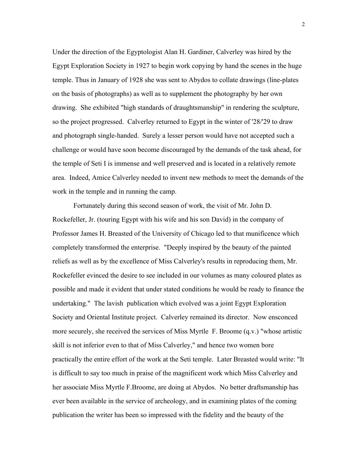Under the direction of the Egyptologist Alan H. Gardiner, Calverley was hired by the Egypt Exploration Society in 1927 to begin work copying by hand the scenes in the huge temple. Thus in January of 1928 she was sent to Abydos to collate drawings (line-plates on the basis of photographs) as well as to supplement the photography by her own drawing. She exhibited "high standards of draughtsmanship" in rendering the sculpture, so the project progressed. Calverley returned to Egypt in the winter of '28/'29 to draw and photograph single-handed. Surely a lesser person would have not accepted such a challenge or would have soon become discouraged by the demands of the task ahead, for the temple of Seti I is immense and well preserved and is located in a relatively remote area. Indeed, Amice Calverley needed to invent new methods to meet the demands of the work in the temple and in running the camp.

Fortunately during this second season of work, the visit of Mr. John D. Rockefeller, Jr. (touring Egypt with his wife and his son David) in the company of Professor James H. Breasted of the University of Chicago led to that munificence which completely transformed the enterprise. "Deeply inspired by the beauty of the painted reliefs as well as by the excellence of Miss Calverley's results in reproducing them, Mr. Rockefeller evinced the desire to see included in our volumes as many coloured plates as possible and made it evident that under stated conditions he would be ready to finance the undertaking." The lavish publication which evolved was a joint Egypt Exploration Society and Oriental Institute project. Calverley remained its director. Now ensconced more securely, she received the services of Miss Myrtle F. Broome (q.v.) "whose artistic skill is not inferior even to that of Miss Calverley," and hence two women bore practically the entire effort of the work at the Seti temple. Later Breasted would write: "It is difficult to say too much in praise of the magnificent work which Miss Calverley and her associate Miss Myrtle F.Broome, are doing at Abydos. No better draftsmanship has ever been available in the service of archeology, and in examining plates of the coming publication the writer has been so impressed with the fidelity and the beauty of the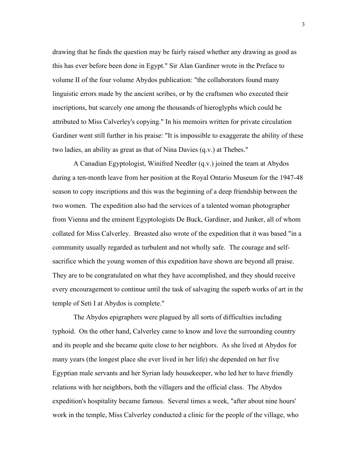drawing that he finds the question may be fairly raised whether any drawing as good as this has ever before been done in Egypt." Sir Alan Gardiner wrote in the Preface to volume II of the four volume Abydos publication: "the collaborators found many linguistic errors made by the ancient scribes, or by the craftsmen who executed their inscriptions, but scarcely one among the thousands of hieroglyphs which could be attributed to Miss Calverley's copying." In his memoirs written for private circulation Gardiner went still further in his praise: "It is impossible to exaggerate the ability of these two ladies, an ability as great as that of Nina Davies (q.v.) at Thebes."

A Canadian Egyptologist, Winifred Needler (q.v.) joined the team at Abydos during a ten-month leave from her position at the Royal Ontario Museum for the 1947-48 season to copy inscriptions and this was the beginning of a deep friendship between the two women. The expedition also had the services of a talented woman photographer from Vienna and the eminent Egyptologists De Buck, Gardiner, and Junker, all of whom collated for Miss Calverley. Breasted also wrote of the expedition that it was based "in a community usually regarded as turbulent and not wholly safe. The courage and selfsacrifice which the young women of this expedition have shown are beyond all praise. They are to be congratulated on what they have accomplished, and they should receive every encouragement to continue until the task of salvaging the superb works of art in the temple of Seti I at Abydos is complete."

The Abydos epigraphers were plagued by all sorts of difficulties including typhoid. On the other hand, Calverley came to know and love the surrounding country and its people and she became quite close to her neighbors. As she lived at Abydos for many years (the longest place she ever lived in her life) she depended on her five Egyptian male servants and her Syrian lady housekeeper, who led her to have friendly relations with her neighbors, both the villagers and the official class. The Abydos expedition's hospitality became famous. Several times a week, "after about nine hours' work in the temple, Miss Calverley conducted a clinic for the people of the village, who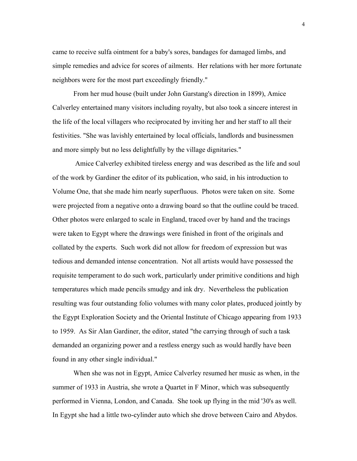came to receive sulfa ointment for a baby's sores, bandages for damaged limbs, and simple remedies and advice for scores of ailments. Her relations with her more fortunate neighbors were for the most part exceedingly friendly."

From her mud house (built under John Garstang's direction in 1899), Amice Calverley entertained many visitors including royalty, but also took a sincere interest in the life of the local villagers who reciprocated by inviting her and her staff to all their festivities. "She was lavishly entertained by local officials, landlords and businessmen and more simply but no less delightfully by the village dignitaries."

 Amice Calverley exhibited tireless energy and was described as the life and soul of the work by Gardiner the editor of its publication, who said, in his introduction to Volume One, that she made him nearly superfluous. Photos were taken on site. Some were projected from a negative onto a drawing board so that the outline could be traced. Other photos were enlarged to scale in England, traced over by hand and the tracings were taken to Egypt where the drawings were finished in front of the originals and collated by the experts. Such work did not allow for freedom of expression but was tedious and demanded intense concentration. Not all artists would have possessed the requisite temperament to do such work, particularly under primitive conditions and high temperatures which made pencils smudgy and ink dry. Nevertheless the publication resulting was four outstanding folio volumes with many color plates, produced jointly by the Egypt Exploration Society and the Oriental Institute of Chicago appearing from 1933 to 1959. As Sir Alan Gardiner, the editor, stated "the carrying through of such a task demanded an organizing power and a restless energy such as would hardly have been found in any other single individual."

When she was not in Egypt, Amice Calverley resumed her music as when, in the summer of 1933 in Austria, she wrote a Quartet in F Minor, which was subsequently performed in Vienna, London, and Canada. She took up flying in the mid '30's as well. In Egypt she had a little two-cylinder auto which she drove between Cairo and Abydos.

4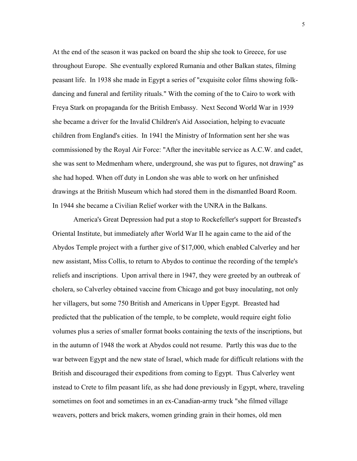At the end of the season it was packed on board the ship she took to Greece, for use throughout Europe. She eventually explored Rumania and other Balkan states, filming peasant life. In 1938 she made in Egypt a series of "exquisite color films showing folkdancing and funeral and fertility rituals." With the coming of the to Cairo to work with Freya Stark on propaganda for the British Embassy. Next Second World War in 1939 she became a driver for the Invalid Children's Aid Association, helping to evacuate children from England's cities. In 1941 the Ministry of Information sent her she was commissioned by the Royal Air Force: "After the inevitable service as A.C.W. and cadet, she was sent to Medmenham where, underground, she was put to figures, not drawing" as she had hoped. When off duty in London she was able to work on her unfinished drawings at the British Museum which had stored them in the dismantled Board Room. In 1944 she became a Civilian Relief worker with the UNRA in the Balkans.

America's Great Depression had put a stop to Rockefeller's support for Breasted's Oriental Institute, but immediately after World War II he again came to the aid of the Abydos Temple project with a further give of \$17,000, which enabled Calverley and her new assistant, Miss Collis, to return to Abydos to continue the recording of the temple's reliefs and inscriptions. Upon arrival there in 1947, they were greeted by an outbreak of cholera, so Calverley obtained vaccine from Chicago and got busy inoculating, not only her villagers, but some 750 British and Americans in Upper Egypt. Breasted had predicted that the publication of the temple, to be complete, would require eight folio volumes plus a series of smaller format books containing the texts of the inscriptions, but in the autumn of 1948 the work at Abydos could not resume. Partly this was due to the war between Egypt and the new state of Israel, which made for difficult relations with the British and discouraged their expeditions from coming to Egypt. Thus Calverley went instead to Crete to film peasant life, as she had done previously in Egypt, where, traveling sometimes on foot and sometimes in an ex-Canadian-army truck "she filmed village weavers, potters and brick makers, women grinding grain in their homes, old men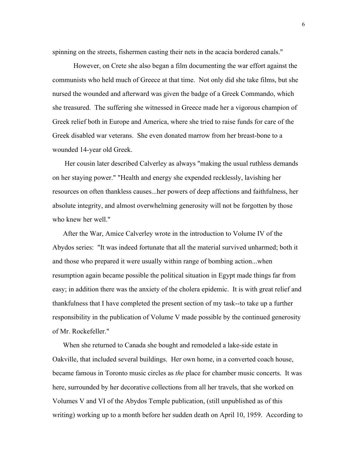spinning on the streets, fishermen casting their nets in the acacia bordered canals."

However, on Crete she also began a film documenting the war effort against the communists who held much of Greece at that time. Not only did she take films, but she nursed the wounded and afterward was given the badge of a Greek Commando, which she treasured. The suffering she witnessed in Greece made her a vigorous champion of Greek relief both in Europe and America, where she tried to raise funds for care of the Greek disabled war veterans. She even donated marrow from her breast-bone to a wounded 14-year old Greek.

 Her cousin later described Calverley as always "making the usual ruthless demands on her staying power." "Health and energy she expended recklessly, lavishing her resources on often thankless causes...her powers of deep affections and faithfulness, her absolute integrity, and almost overwhelming generosity will not be forgotten by those who knew her well."

After the War, Amice Calverley wrote in the introduction to Volume IV of the Abydos series: "It was indeed fortunate that all the material survived unharmed; both it and those who prepared it were usually within range of bombing action...when resumption again became possible the political situation in Egypt made things far from easy; in addition there was the anxiety of the cholera epidemic. It is with great relief and thankfulness that I have completed the present section of my task--to take up a further responsibility in the publication of Volume V made possible by the continued generosity of Mr. Rockefeller."

When she returned to Canada she bought and remodeled a lake-side estate in Oakville, that included several buildings. Her own home, in a converted coach house, became famous in Toronto music circles as *the* place for chamber music concerts. It was here, surrounded by her decorative collections from all her travels, that she worked on Volumes V and VI of the Abydos Temple publication, (still unpublished as of this writing) working up to a month before her sudden death on April 10, 1959. According to